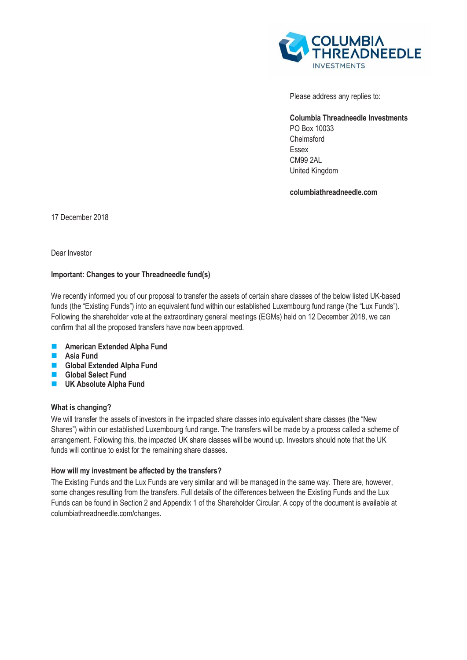

Please address any replies to:

**Columbia Threadneedle Investments**  PO Box 10033 Chelmsford Essex CM99 2AL United Kingdom

**columbiathreadneedle.com**

17 December 2018

Dear Investor

# **Important: Changes to your Threadneedle fund(s)**

We recently informed you of our proposal to transfer the assets of certain share classes of the below listed UK-based funds (the "Existing Funds") into an equivalent fund within our established Luxembourg fund range (the "Lux Funds"). Following the shareholder vote at the extraordinary general meetings (EGMs) held on 12 December 2018, we can confirm that all the proposed transfers have now been approved.

- **American Extended Alpha Fund**
- **Asia Fund**
- **Global Extended Alpha Fund**
- **Global Select Fund**
- **UK Absolute Alpha Fund**

# **What is changing?**

We will transfer the assets of investors in the impacted share classes into equivalent share classes (the "New Shares") within our established Luxembourg fund range. The transfers will be made by a process called a scheme of arrangement. Following this, the impacted UK share classes will be wound up. Investors should note that the UK funds will continue to exist for the remaining share classes.

# **How will my investment be affected by the transfers?**

The Existing Funds and the Lux Funds are very similar and will be managed in the same way. There are, however, some changes resulting from the transfers. Full details of the differences between the Existing Funds and the Lux Funds can be found in Section 2 and Appendix 1 of the Shareholder Circular. A copy of the document is available at [columbiathreadneedle.com/changes.](http://www.columbiathreadneedle.com/changes)